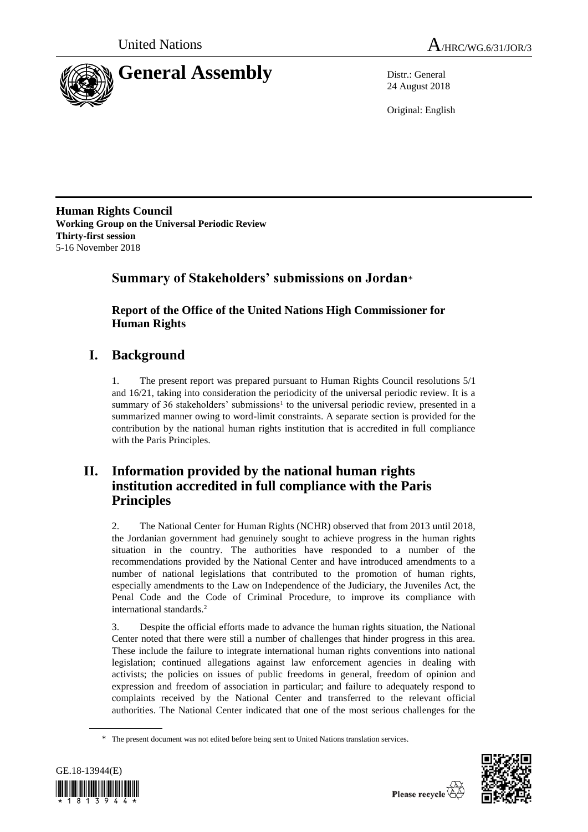



24 August 2018

Original: English

**Human Rights Council Working Group on the Universal Periodic Review Thirty-first session** 5-16 November 2018

## **Summary of Stakeholders' submissions on Jordan**\*

**Report of the Office of the United Nations High Commissioner for Human Rights**

# **I. Background**

1. The present report was prepared pursuant to Human Rights Council resolutions 5/1 and 16/21, taking into consideration the periodicity of the universal periodic review. It is a summary of 36 stakeholders' submissions<sup>1</sup> to the universal periodic review, presented in a summarized manner owing to word-limit constraints. A separate section is provided for the contribution by the national human rights institution that is accredited in full compliance with the Paris Principles.

## **II. Information provided by the national human rights institution accredited in full compliance with the Paris Principles**

2. The National Center for Human Rights (NCHR) observed that from 2013 until 2018, the Jordanian government had genuinely sought to achieve progress in the human rights situation in the country. The authorities have responded to a number of the recommendations provided by the National Center and have introduced amendments to a number of national legislations that contributed to the promotion of human rights, especially amendments to the Law on Independence of the Judiciary, the Juveniles Act, the Penal Code and the Code of Criminal Procedure, to improve its compliance with international standards.<sup>2</sup>

3. Despite the official efforts made to advance the human rights situation, the National Center noted that there were still a number of challenges that hinder progress in this area. These include the failure to integrate international human rights conventions into national legislation; continued allegations against law enforcement agencies in dealing with activists; the policies on issues of public freedoms in general, freedom of opinion and expression and freedom of association in particular; and failure to adequately respond to complaints received by the National Center and transferred to the relevant official authorities. The National Center indicated that one of the most serious challenges for the

<sup>\*</sup> The present document was not edited before being sent to United Nations translation services.



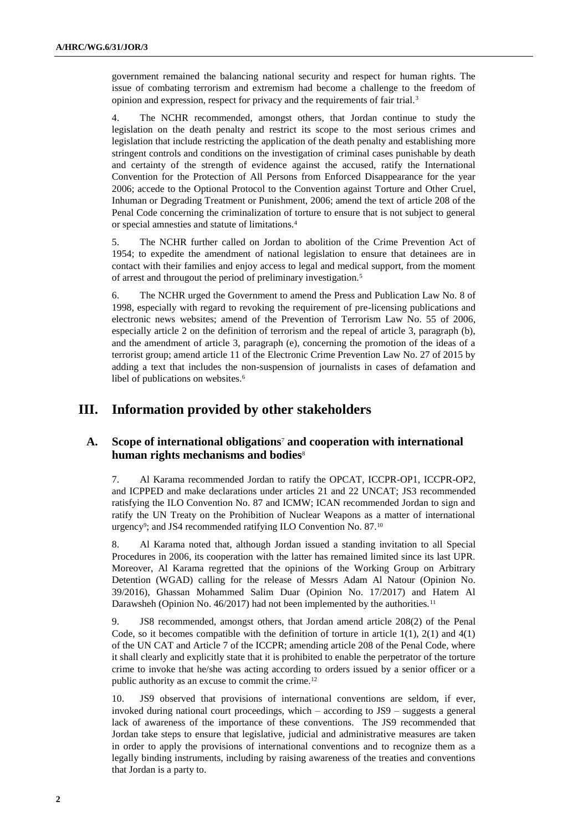government remained the balancing national security and respect for human rights. The issue of combating terrorism and extremism had become a challenge to the freedom of opinion and expression, respect for privacy and the requirements of fair trial.<sup>3</sup>

4. The NCHR recommended, amongst others, that Jordan continue to study the legislation on the death penalty and restrict its scope to the most serious crimes and legislation that include restricting the application of the death penalty and establishing more stringent controls and conditions on the investigation of criminal cases punishable by death and certainty of the strength of evidence against the accused, ratify the International Convention for the Protection of All Persons from Enforced Disappearance for the year 2006; accede to the Optional Protocol to the Convention against Torture and Other Cruel, Inhuman or Degrading Treatment or Punishment, 2006; amend the text of article 208 of the Penal Code concerning the criminalization of torture to ensure that is not subject to general or special amnesties and statute of limitations.<sup>4</sup>

5. The NCHR further called on Jordan to abolition of the Crime Prevention Act of 1954; to expedite the amendment of national legislation to ensure that detainees are in contact with their families and enjoy access to legal and medical support, from the moment of arrest and througout the period of preliminary investigation.<sup>5</sup>

6. The NCHR urged the Government to amend the Press and Publication Law No. 8 of 1998, especially with regard to revoking the requirement of pre-licensing publications and electronic news websites; amend of the Prevention of Terrorism Law No. 55 of 2006, especially article 2 on the definition of terrorism and the repeal of article 3, paragraph (b), and the amendment of article 3, paragraph (e), concerning the promotion of the ideas of a terrorist group; amend article 11 of the Electronic Crime Prevention Law No. 27 of 2015 by adding a text that includes the non-suspension of journalists in cases of defamation and libel of publications on websites.<sup>6</sup>

## **III. Information provided by other stakeholders**

### **A. Scope of international obligations**<sup>7</sup> **and cooperation with international human rights mechanisms and bodies**<sup>8</sup>

7. Al Karama recommended Jordan to ratify the OPCAT, ICCPR-OP1, ICCPR-OP2, and ICPPED and make declarations under articles 21 and 22 UNCAT; JS3 recommended ratisfying the ILO Convention No. 87 and ICMW; ICAN recommended Jordan to sign and ratify the UN Treaty on the Prohibition of Nuclear Weapons as a matter of international urgency<sup>9</sup>; and JS4 recommended ratifying ILO Convention No. 87.<sup>10</sup>

8. Al Karama noted that, although Jordan issued a standing invitation to all Special Procedures in 2006, its cooperation with the latter has remained limited since its last UPR. Moreover, Al Karama regretted that the opinions of the Working Group on Arbitrary Detention (WGAD) calling for the release of Messrs Adam Al Natour (Opinion No. 39/2016), Ghassan Mohammed Salim Duar (Opinion No. 17/2017) and Hatem Al Darawsheh (Opinion No. 46/2017) had not been implemented by the authorities.<sup>11</sup>

9. JS8 recommended, amongst others, that Jordan amend article 208(2) of the Penal Code, so it becomes compatible with the definition of torture in article  $1(1)$ ,  $2(1)$  and  $4(1)$ of the UN CAT and Article 7 of the ICCPR; amending article 208 of the Penal Code, where it shall clearly and explicitly state that it is prohibited to enable the perpetrator of the torture crime to invoke that he/she was acting according to orders issued by a senior officer or a public authority as an excuse to commit the crime.<sup>12</sup>

10. JS9 observed that provisions of international conventions are seldom, if ever, invoked during national court proceedings, which – according to JS9 – suggests a general lack of awareness of the importance of these conventions. The JS9 recommended that Jordan take steps to ensure that legislative, judicial and administrative measures are taken in order to apply the provisions of international conventions and to recognize them as a legally binding instruments, including by raising awareness of the treaties and conventions that Jordan is a party to.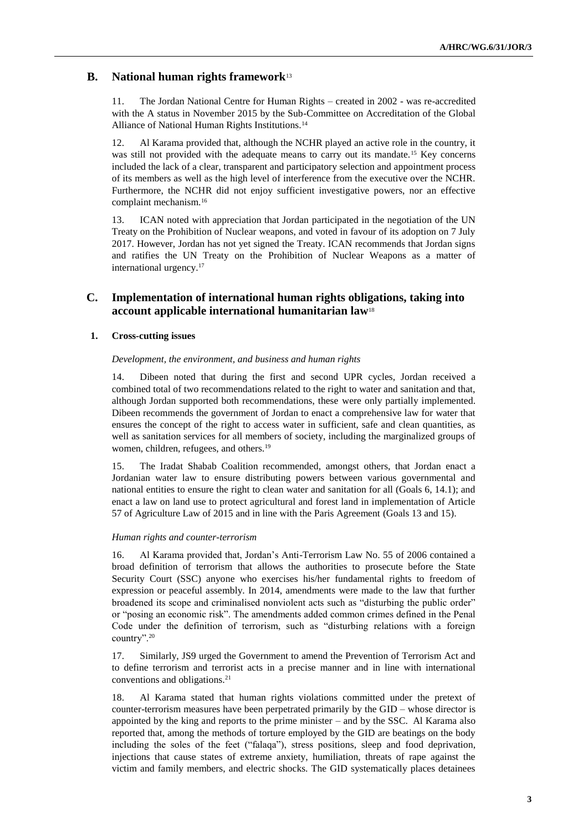### **B. National human rights framework**<sup>13</sup>

11. The Jordan National Centre for Human Rights – created in 2002 - was re-accredited with the A status in November 2015 by the Sub-Committee on Accreditation of the Global Alliance of National Human Rights Institutions.<sup>14</sup>

12. Al Karama provided that, although the NCHR played an active role in the country, it was still not provided with the adequate means to carry out its mandate.<sup>15</sup> Key concerns included the lack of a clear, transparent and participatory selection and appointment process of its members as well as the high level of interference from the executive over the NCHR. Furthermore, the NCHR did not enjoy sufficient investigative powers, nor an effective complaint mechanism.<sup>16</sup>

13. ICAN noted with appreciation that Jordan participated in the negotiation of the UN Treaty on the Prohibition of Nuclear weapons, and voted in favour of its adoption on 7 July 2017. However, Jordan has not yet signed the Treaty. ICAN recommends that Jordan signs and ratifies the UN Treaty on the Prohibition of Nuclear Weapons as a matter of international urgency.<sup>17</sup>

### **C. Implementation of international human rights obligations, taking into account applicable international humanitarian law**<sup>18</sup>

#### **1. Cross-cutting issues**

#### *Development, the environment, and business and human rights*

14. Dibeen noted that during the first and second UPR cycles, Jordan received a combined total of two recommendations related to the right to water and sanitation and that, although Jordan supported both recommendations, these were only partially implemented. Dibeen recommends the government of Jordan to enact a comprehensive law for water that ensures the concept of the right to access water in sufficient, safe and clean quantities, as well as sanitation services for all members of society, including the marginalized groups of women, children, refugees, and others.<sup>19</sup>

15. The Iradat Shabab Coalition recommended, amongst others, that Jordan enact a Jordanian water law to ensure distributing powers between various governmental and national entities to ensure the right to clean water and sanitation for all (Goals 6, 14.1); and enact a law on land use to protect agricultural and forest land in implementation of Article 57 of Agriculture Law of 2015 and in line with the Paris Agreement (Goals 13 and 15).

#### *Human rights and counter-terrorism*

16. Al Karama provided that, Jordan's Anti-Terrorism Law No. 55 of 2006 contained a broad definition of terrorism that allows the authorities to prosecute before the State Security Court (SSC) anyone who exercises his/her fundamental rights to freedom of expression or peaceful assembly. In 2014, amendments were made to the law that further broadened its scope and criminalised nonviolent acts such as "disturbing the public order" or "posing an economic risk". The amendments added common crimes defined in the Penal Code under the definition of terrorism, such as "disturbing relations with a foreign country".<sup>20</sup>

17. Similarly, JS9 urged the Government to amend the Prevention of Terrorism Act and to define terrorism and terrorist acts in a precise manner and in line with international conventions and obligations.<sup>21</sup>

18. Al Karama stated that human rights violations committed under the pretext of counter-terrorism measures have been perpetrated primarily by the GID – whose director is appointed by the king and reports to the prime minister – and by the SSC. Al Karama also reported that, among the methods of torture employed by the GID are beatings on the body including the soles of the feet ("falaqa"), stress positions, sleep and food deprivation, injections that cause states of extreme anxiety, humiliation, threats of rape against the victim and family members, and electric shocks. The GID systematically places detainees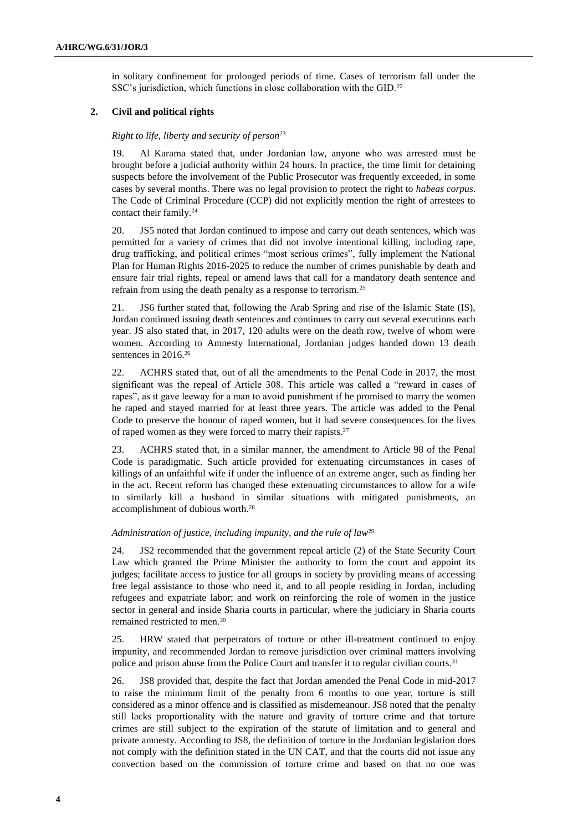in solitary confinement for prolonged periods of time. Cases of terrorism fall under the SSC's jurisdiction, which functions in close collaboration with the GID.<sup>22</sup>

#### **2. Civil and political rights**

#### *Right to life, liberty and security of person*<sup>23</sup>

19. Al Karama stated that, under Jordanian law, anyone who was arrested must be brought before a judicial authority within 24 hours. In practice, the time limit for detaining suspects before the involvement of the Public Prosecutor was frequently exceeded, in some cases by several months. There was no legal provision to protect the right to *habeas corpus*. The Code of Criminal Procedure (CCP) did not explicitly mention the right of arrestees to contact their family.<sup>24</sup>

20. JS5 noted that Jordan continued to impose and carry out death sentences, which was permitted for a variety of crimes that did not involve intentional killing, including rape, drug trafficking, and political crimes "most serious crimes", fully implement the National Plan for Human Rights 2016-2025 to reduce the number of crimes punishable by death and ensure fair trial rights, repeal or amend laws that call for a mandatory death sentence and refrain from using the death penalty as a response to terrorism.<sup>25</sup>

21. JS6 further stated that, following the Arab Spring and rise of the Islamic State (IS), Jordan continued issuing death sentences and continues to carry out several executions each year. JS also stated that, in 2017, 120 adults were on the death row, twelve of whom were women. According to Amnesty International, Jordanian judges handed down 13 death sentences in 2016.<sup>26</sup>

22. ACHRS stated that, out of all the amendments to the Penal Code in 2017, the most significant was the repeal of Article 308. This article was called a "reward in cases of rapes", as it gave leeway for a man to avoid punishment if he promised to marry the women he raped and stayed married for at least three years. The article was added to the Penal Code to preserve the honour of raped women, but it had severe consequences for the lives of raped women as they were forced to marry their rapists.<sup>27</sup>

23. ACHRS stated that, in a similar manner, the amendment to Article 98 of the Penal Code is paradigmatic. Such article provided for extenuating circumstances in cases of killings of an unfaithful wife if under the influence of an extreme anger, such as finding her in the act. Recent reform has changed these extenuating circumstances to allow for a wife to similarly kill a husband in similar situations with mitigated punishments, an accomplishment of dubious worth.<sup>28</sup>

#### *Administration of justice, including impunity, and the rule of law*<sup>29</sup>

24. JS2 recommended that the government repeal article (2) of the State Security Court Law which granted the Prime Minister the authority to form the court and appoint its judges; facilitate access to justice for all groups in society by providing means of accessing free legal assistance to those who need it, and to all people residing in Jordan, including refugees and expatriate labor; and work on reinforcing the role of women in the justice sector in general and inside Sharia courts in particular, where the judiciary in Sharia courts remained restricted to men.<sup>30</sup>

25. HRW stated that perpetrators of torture or other ill-treatment continued to enjoy impunity, and recommended Jordan to remove jurisdiction over criminal matters involving police and prison abuse from the Police Court and transfer it to regular civilian courts.<sup>31</sup>

26. JS8 provided that, despite the fact that Jordan amended the Penal Code in mid-2017 to raise the minimum limit of the penalty from 6 months to one year, torture is still considered as a minor offence and is classified as misdemeanour. JS8 noted that the penalty still lacks proportionality with the nature and gravity of torture crime and that torture crimes are still subject to the expiration of the statute of limitation and to general and private amnesty. According to JS8, the definition of torture in the Jordanian legislation does not comply with the definition stated in the UN CAT, and that the courts did not issue any convection based on the commission of torture crime and based on that no one was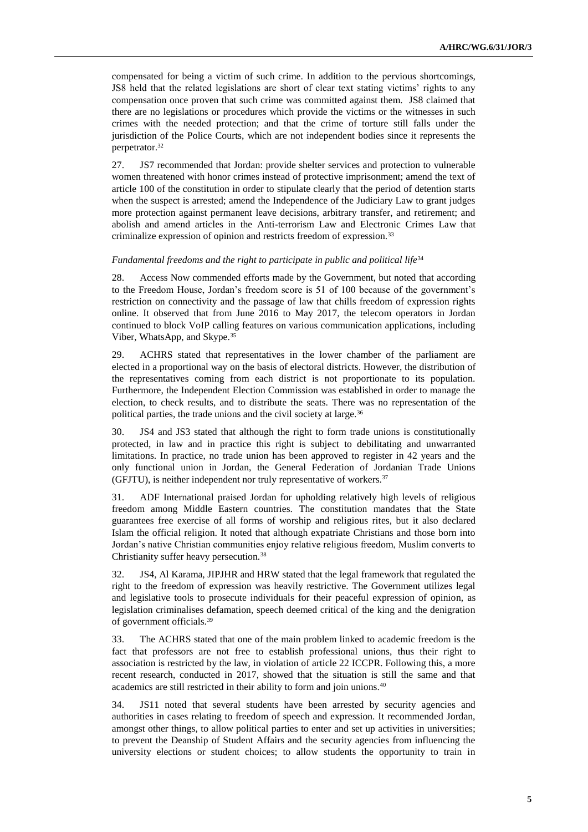compensated for being a victim of such crime. In addition to the pervious shortcomings, JS8 held that the related legislations are short of clear text stating victims' rights to any compensation once proven that such crime was committed against them. JS8 claimed that there are no legislations or procedures which provide the victims or the witnesses in such crimes with the needed protection; and that the crime of torture still falls under the jurisdiction of the Police Courts, which are not independent bodies since it represents the perpetrator.<sup>32</sup>

27. JS7 recommended that Jordan: provide shelter services and protection to vulnerable women threatened with honor crimes instead of protective imprisonment; amend the text of article 100 of the constitution in order to stipulate clearly that the period of detention starts when the suspect is arrested; amend the Independence of the Judiciary Law to grant judges more protection against permanent leave decisions, arbitrary transfer, and retirement; and abolish and amend articles in the Anti-terrorism Law and Electronic Crimes Law that criminalize expression of opinion and restricts freedom of expression.<sup>33</sup>

#### Fundamental freedoms and the right to participate in public and political life<sup>34</sup>

28. Access Now commended efforts made by the Government, but noted that according to the Freedom House, Jordan's freedom score is 51 of 100 because of the government's restriction on connectivity and the passage of law that chills freedom of expression rights online. It observed that from June 2016 to May 2017, the telecom operators in Jordan continued to block VoIP calling features on various communication applications, including Viber, WhatsApp, and Skype.<sup>35</sup>

29. ACHRS stated that representatives in the lower chamber of the parliament are elected in a proportional way on the basis of electoral districts. However, the distribution of the representatives coming from each district is not proportionate to its population. Furthermore, the Independent Election Commission was established in order to manage the election, to check results, and to distribute the seats. There was no representation of the political parties, the trade unions and the civil society at large.<sup>36</sup>

30. JS4 and JS3 stated that although the right to form trade unions is constitutionally protected, in law and in practice this right is subject to debilitating and unwarranted limitations. In practice, no trade union has been approved to register in 42 years and the only functional union in Jordan, the General Federation of Jordanian Trade Unions (GFJTU), is neither independent nor truly representative of workers.<sup>37</sup>

31. ADF International praised Jordan for upholding relatively high levels of religious freedom among Middle Eastern countries. The constitution mandates that the State guarantees free exercise of all forms of worship and religious rites, but it also declared Islam the official religion. It noted that although expatriate Christians and those born into Jordan's native Christian communities enjoy relative religious freedom, Muslim converts to Christianity suffer heavy persecution.<sup>38</sup>

32. JS4, Al Karama, JIPJHR and HRW stated that the legal framework that regulated the right to the freedom of expression was heavily restrictive. The Government utilizes legal and legislative tools to prosecute individuals for their peaceful expression of opinion, as legislation criminalises defamation, speech deemed critical of the king and the denigration of government officials.<sup>39</sup>

33. The ACHRS stated that one of the main problem linked to academic freedom is the fact that professors are not free to establish professional unions, thus their right to association is restricted by the law, in violation of article 22 ICCPR. Following this, a more recent research, conducted in 2017, showed that the situation is still the same and that academics are still restricted in their ability to form and join unions.<sup>40</sup>

34. JS11 noted that several students have been arrested by security agencies and authorities in cases relating to freedom of speech and expression. It recommended Jordan, amongst other things, to allow political parties to enter and set up activities in universities; to prevent the Deanship of Student Affairs and the security agencies from influencing the university elections or student choices; to allow students the opportunity to train in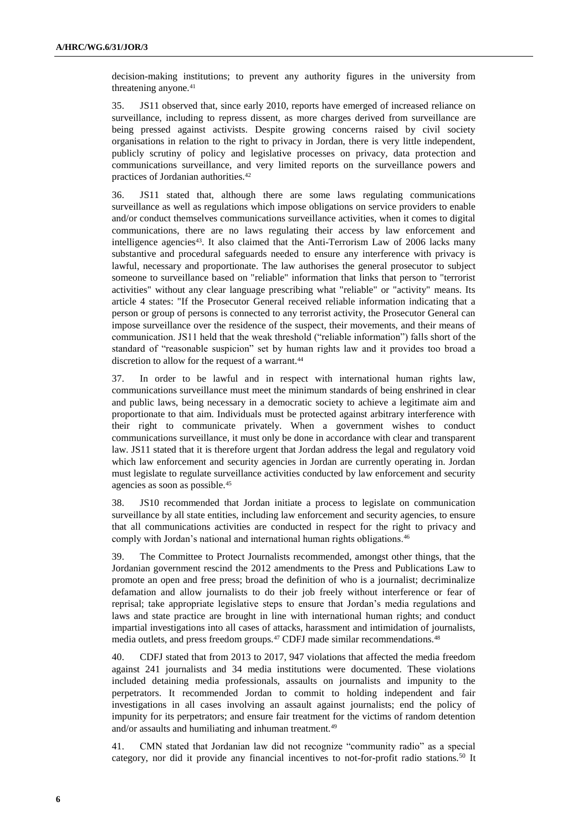decision-making institutions; to prevent any authority figures in the university from threatening anyone.<sup>41</sup>

35. JS11 observed that, since early 2010, reports have emerged of increased reliance on surveillance, including to repress dissent, as more charges derived from surveillance are being pressed against activists. Despite growing concerns raised by civil society organisations in relation to the right to privacy in Jordan, there is very little independent, publicly scrutiny of policy and legislative processes on privacy, data protection and communications surveillance, and very limited reports on the surveillance powers and practices of Jordanian authorities.<sup>42</sup>

36. JS11 stated that, although there are some laws regulating communications surveillance as well as regulations which impose obligations on service providers to enable and/or conduct themselves communications surveillance activities, when it comes to digital communications, there are no laws regulating their access by law enforcement and intelligence agencies<sup>43</sup>. It also claimed that the Anti-Terrorism Law of 2006 lacks many substantive and procedural safeguards needed to ensure any interference with privacy is lawful, necessary and proportionate. The law authorises the general prosecutor to subject someone to surveillance based on "reliable" information that links that person to "terrorist activities" without any clear language prescribing what "reliable" or "activity" means. Its article 4 states: "If the Prosecutor General received reliable information indicating that a person or group of persons is connected to any terrorist activity, the Prosecutor General can impose surveillance over the residence of the suspect, their movements, and their means of communication. JS11 held that the weak threshold ("reliable information") falls short of the standard of "reasonable suspicion" set by human rights law and it provides too broad a discretion to allow for the request of a warrant.<sup>44</sup>

37. In order to be lawful and in respect with international human rights law, communications surveillance must meet the minimum standards of being enshrined in clear and public laws, being necessary in a democratic society to achieve a legitimate aim and proportionate to that aim. Individuals must be protected against arbitrary interference with their right to communicate privately. When a government wishes to conduct communications surveillance, it must only be done in accordance with clear and transparent law. JS11 stated that it is therefore urgent that Jordan address the legal and regulatory void which law enforcement and security agencies in Jordan are currently operating in. Jordan must legislate to regulate surveillance activities conducted by law enforcement and security agencies as soon as possible.<sup>45</sup>

38. JS10 recommended that Jordan initiate a process to legislate on communication surveillance by all state entities, including law enforcement and security agencies, to ensure that all communications activities are conducted in respect for the right to privacy and comply with Jordan's national and international human rights obligations.<sup>46</sup>

39. The Committee to Protect Journalists recommended, amongst other things, that the Jordanian government rescind the 2012 amendments to the Press and Publications Law to promote an open and free press; broad the definition of who is a journalist; decriminalize defamation and allow journalists to do their job freely without interference or fear of reprisal; take appropriate legislative steps to ensure that Jordan's media regulations and laws and state practice are brought in line with international human rights; and conduct impartial investigations into all cases of attacks, harassment and intimidation of journalists, media outlets, and press freedom groups.<sup>47</sup> CDFJ made similar recommendations.<sup>48</sup>

40. CDFJ stated that from 2013 to 2017, 947 violations that affected the media freedom against 241 journalists and 34 media institutions were documented. These violations included detaining media professionals, assaults on journalists and impunity to the perpetrators. It recommended Jordan to commit to holding independent and fair investigations in all cases involving an assault against journalists; end the policy of impunity for its perpetrators; and ensure fair treatment for the victims of random detention and/or assaults and humiliating and inhuman treatment.<sup>49</sup>

41. CMN stated that Jordanian law did not recognize "community radio" as a special category, nor did it provide any financial incentives to not-for-profit radio stations.<sup>50</sup> It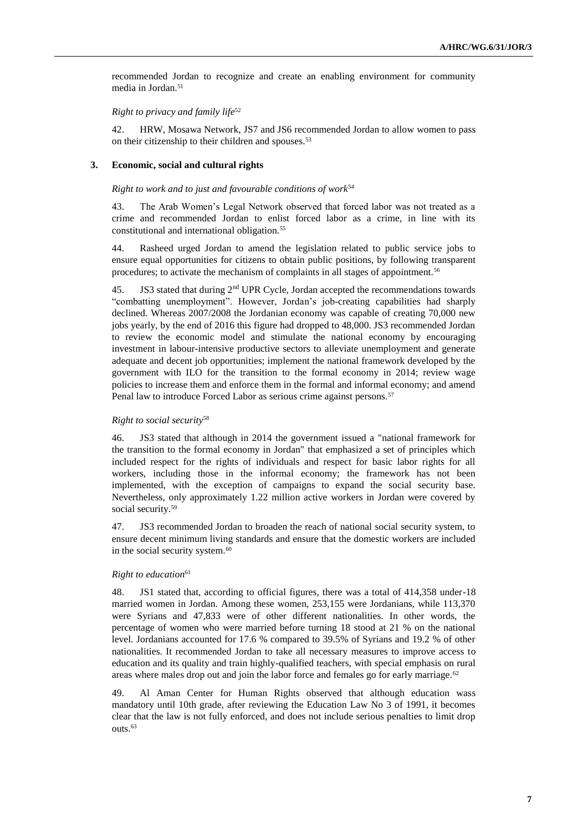recommended Jordan to recognize and create an enabling environment for community media in Jordan.<sup>51</sup>

#### *Right to privacy and family life*<sup>52</sup>

42. HRW, Mosawa Network, JS7 and JS6 recommended Jordan to allow women to pass on their citizenship to their children and spouses.<sup>53</sup>

#### **3. Economic, social and cultural rights**

#### *Right to work and to just and favourable conditions of work*<sup>54</sup>

43. The Arab Women's Legal Network observed that forced labor was not treated as a crime and recommended Jordan to enlist forced labor as a crime, in line with its constitutional and international obligation.<sup>55</sup>

44. Rasheed urged Jordan to amend the legislation related to public service jobs to ensure equal opportunities for citizens to obtain public positions, by following transparent procedures; to activate the mechanism of complaints in all stages of appointment.<sup>56</sup>

45. JS3 stated that during 2<sup>nd</sup> UPR Cycle, Jordan accepted the recommendations towards "combatting unemployment". However, Jordan's job-creating capabilities had sharply declined. Whereas 2007/2008 the Jordanian economy was capable of creating 70,000 new jobs yearly, by the end of 2016 this figure had dropped to 48,000. JS3 recommended Jordan to review the economic model and stimulate the national economy by encouraging investment in labour-intensive productive sectors to alleviate unemployment and generate adequate and decent job opportunities; implement the national framework developed by the government with ILO for the transition to the formal economy in 2014; review wage policies to increase them and enforce them in the formal and informal economy; and amend Penal law to introduce Forced Labor as serious crime against persons.<sup>57</sup>

#### *Right to social security*<sup>58</sup>

46. JS3 stated that although in 2014 the government issued a "national framework for the transition to the formal economy in Jordan" that emphasized a set of principles which included respect for the rights of individuals and respect for basic labor rights for all workers, including those in the informal economy; the framework has not been implemented, with the exception of campaigns to expand the social security base. Nevertheless, only approximately 1.22 million active workers in Jordan were covered by social security.<sup>59</sup>

47. JS3 recommended Jordan to broaden the reach of national social security system, to ensure decent minimum living standards and ensure that the domestic workers are included in the social security system.<sup>60</sup>

#### *Right to education*<sup>61</sup>

48. JS1 stated that, according to official figures, there was a total of 414,358 under-18 married women in Jordan. Among these women, 253,155 were Jordanians, while 113,370 were Syrians and 47,833 were of other different nationalities. In other words, the percentage of women who were married before turning 18 stood at 21 % on the national level. Jordanians accounted for 17.6 % compared to 39.5% of Syrians and 19.2 % of other nationalities. It recommended Jordan to take all necessary measures to improve access to education and its quality and train highly-qualified teachers, with special emphasis on rural areas where males drop out and join the labor force and females go for early marriage.<sup>62</sup>

49. Al Aman Center for Human Rights observed that although education wass mandatory until 10th grade, after reviewing the Education Law No 3 of 1991, it becomes clear that the law is not fully enforced, and does not include serious penalties to limit drop outs.<sup>63</sup>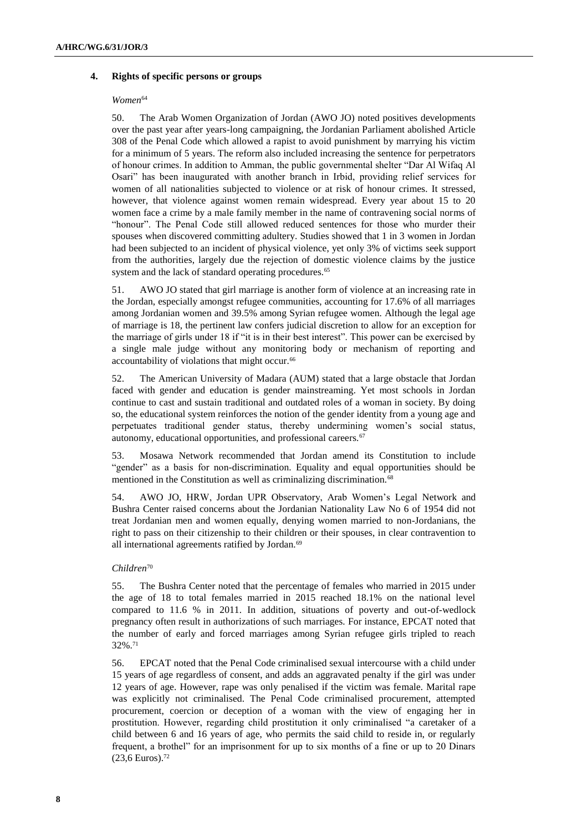#### **4. Rights of specific persons or groups**

#### $Women<sup>64</sup>$

50. The Arab Women Organization of Jordan (AWO JO) noted positives developments over the past year after years-long campaigning, the Jordanian Parliament abolished Article 308 of the Penal Code which allowed a rapist to avoid punishment by marrying his victim for a minimum of 5 years. The reform also included increasing the sentence for perpetrators of honour crimes. In addition to Amman, the public governmental shelter "Dar Al Wifaq Al Osari" has been inaugurated with another branch in Irbid, providing relief services for women of all nationalities subjected to violence or at risk of honour crimes. It stressed, however, that violence against women remain widespread. Every year about 15 to 20 women face a crime by a male family member in the name of contravening social norms of "honour". The Penal Code still allowed reduced sentences for those who murder their spouses when discovered committing adultery. Studies showed that 1 in 3 women in Jordan had been subjected to an incident of physical violence, yet only 3% of victims seek support from the authorities, largely due the rejection of domestic violence claims by the justice system and the lack of standard operating procedures.<sup>65</sup>

51. AWO JO stated that girl marriage is another form of violence at an increasing rate in the Jordan, especially amongst refugee communities, accounting for 17.6% of all marriages among Jordanian women and 39.5% among Syrian refugee women. Although the legal age of marriage is 18, the pertinent law confers judicial discretion to allow for an exception for the marriage of girls under 18 if "it is in their best interest". This power can be exercised by a single male judge without any monitoring body or mechanism of reporting and accountability of violations that might occur.<sup>66</sup>

52. The American University of Madara (AUM) stated that a large obstacle that Jordan faced with gender and education is gender mainstreaming. Yet most schools in Jordan continue to cast and sustain traditional and outdated roles of a woman in society. By doing so, the educational system reinforces the notion of the gender identity from a young age and perpetuates traditional gender status, thereby undermining women's social status, autonomy, educational opportunities, and professional careers.<sup>67</sup>

53. Mosawa Network recommended that Jordan amend its Constitution to include "gender" as a basis for non-discrimination. Equality and equal opportunities should be mentioned in the Constitution as well as criminalizing discrimination.<sup>68</sup>

54. AWO JO, HRW, Jordan UPR Observatory, Arab Women's Legal Network and Bushra Center raised concerns about the Jordanian Nationality Law No 6 of 1954 did not treat Jordanian men and women equally, denying women married to non-Jordanians, the right to pass on their citizenship to their children or their spouses, in clear contravention to all international agreements ratified by Jordan.<sup>69</sup>

#### *Children*<sup>70</sup>

55. The Bushra Center noted that the percentage of females who married in 2015 under the age of 18 to total females married in 2015 reached 18.1% on the national level compared to 11.6 % in 2011. In addition, situations of poverty and out-of-wedlock pregnancy often result in authorizations of such marriages. For instance, EPCAT noted that the number of early and forced marriages among Syrian refugee girls tripled to reach 32%.<sup>71</sup>

56. EPCAT noted that the Penal Code criminalised sexual intercourse with a child under 15 years of age regardless of consent, and adds an aggravated penalty if the girl was under 12 years of age. However, rape was only penalised if the victim was female. Marital rape was explicitly not criminalised. The Penal Code criminalised procurement, attempted procurement, coercion or deception of a woman with the view of engaging her in prostitution. However, regarding child prostitution it only criminalised "a caretaker of a child between 6 and 16 years of age, who permits the said child to reside in, or regularly frequent, a brothel" for an imprisonment for up to six months of a fine or up to 20 Dinars (23,6 Euros).72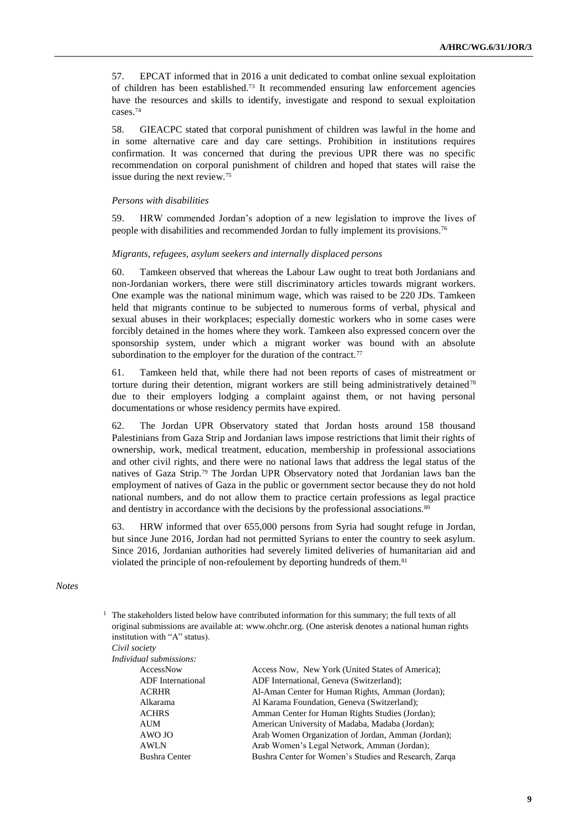57. EPCAT informed that in 2016 a unit dedicated to combat online sexual exploitation of children has been established.<sup>73</sup> It recommended ensuring law enforcement agencies have the resources and skills to identify, investigate and respond to sexual exploitation cases.<sup>74</sup>

58. GIEACPC stated that corporal punishment of children was lawful in the home and in some alternative care and day care settings. Prohibition in institutions requires confirmation. It was concerned that during the previous UPR there was no specific recommendation on corporal punishment of children and hoped that states will raise the issue during the next review.<sup>75</sup>

#### *Persons with disabilities*

59. HRW commended Jordan's adoption of a new legislation to improve the lives of people with disabilities and recommended Jordan to fully implement its provisions.<sup>76</sup>

#### *Migrants, refugees, asylum seekers and internally displaced persons*

60. Tamkeen observed that whereas the Labour Law ought to treat both Jordanians and non-Jordanian workers, there were still discriminatory articles towards migrant workers. One example was the national minimum wage, which was raised to be 220 JDs. Tamkeen held that migrants continue to be subjected to numerous forms of verbal, physical and sexual abuses in their workplaces; especially domestic workers who in some cases were forcibly detained in the homes where they work. Tamkeen also expressed concern over the sponsorship system, under which a migrant worker was bound with an absolute subordination to the employer for the duration of the contract.<sup>77</sup>

61. Tamkeen held that, while there had not been reports of cases of mistreatment or torture during their detention, migrant workers are still being administratively detained<sup>78</sup> due to their employers lodging a complaint against them, or not having personal documentations or whose residency permits have expired.

62. The Jordan UPR Observatory stated that Jordan hosts around 158 thousand Palestinians from Gaza Strip and Jordanian laws impose restrictions that limit their rights of ownership, work, medical treatment, education, membership in professional associations and other civil rights, and there were no national laws that address the legal status of the natives of Gaza Strip.<sup>79</sup> The Jordan UPR Observatory noted that Jordanian laws ban the employment of natives of Gaza in the public or government sector because they do not hold national numbers, and do not allow them to practice certain professions as legal practice and dentistry in accordance with the decisions by the professional associations.<sup>80</sup>

63. HRW informed that over 655,000 persons from Syria had sought refuge in Jordan, but since June 2016, Jordan had not permitted Syrians to enter the country to seek asylum. Since 2016, Jordanian authorities had severely limited deliveries of humanitarian aid and violated the principle of non-refoulement by deporting hundreds of them.<sup>81</sup>

#### *Notes*

 $1$  The stakeholders listed below have contributed information for this summary; the full texts of all original submissions are available at: [www.ohchr.org.](http://www.ohchr.org/) (One asterisk denotes a national human rights institution with "A" status).

*Civil society*

| <i>Individual submissions:</i> |                                                       |
|--------------------------------|-------------------------------------------------------|
| AccessNow                      | Access Now, New York (United States of America);      |
| <b>ADF</b> International       | ADF International, Geneva (Switzerland);              |
| <b>ACRHR</b>                   | Al-Aman Center for Human Rights, Amman (Jordan);      |
| Alkarama                       | Al Karama Foundation, Geneva (Switzerland);           |
| <b>ACHRS</b>                   | Amman Center for Human Rights Studies (Jordan);       |
| AUM                            | American University of Madaba, Madaba (Jordan);       |
| AWO JO                         | Arab Women Organization of Jordan, Amman (Jordan);    |
| <b>AWLN</b>                    | Arab Women's Legal Network, Amman (Jordan);           |
| <b>Bushra Center</b>           | Bushra Center for Women's Studies and Research, Zarqa |
|                                |                                                       |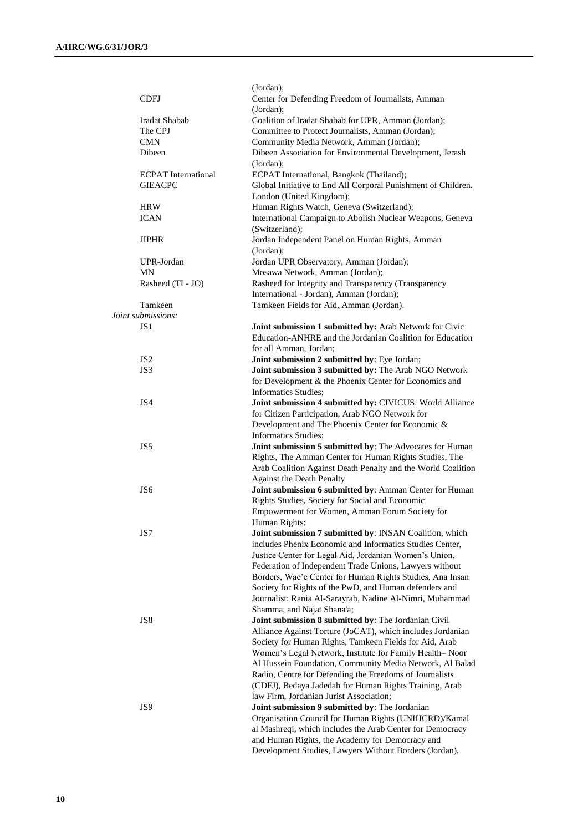|                            | (Jordan);                                                     |
|----------------------------|---------------------------------------------------------------|
| <b>CDFJ</b>                | Center for Defending Freedom of Journalists, Amman            |
|                            | (Jordan);                                                     |
| Iradat Shabab              | Coalition of Iradat Shabab for UPR, Amman (Jordan);           |
| The CPJ                    | Committee to Protect Journalists, Amman (Jordan);             |
| <b>CMN</b>                 | Community Media Network, Amman (Jordan);                      |
| Dibeen                     | Dibeen Association for Environmental Development, Jerash      |
|                            |                                                               |
|                            | (Jordan);                                                     |
| <b>ECPAT</b> International | ECPAT International, Bangkok (Thailand);                      |
| <b>GIEACPC</b>             | Global Initiative to End All Corporal Punishment of Children, |
|                            | London (United Kingdom);                                      |
| <b>HRW</b>                 | Human Rights Watch, Geneva (Switzerland);                     |
| <b>ICAN</b>                | International Campaign to Abolish Nuclear Weapons, Geneva     |
|                            | (Switzerland);                                                |
| JIPHR                      | Jordan Independent Panel on Human Rights, Amman               |
|                            | (Jordan);                                                     |
| UPR-Jordan                 | Jordan UPR Observatory, Amman (Jordan);                       |
| MΝ                         | Mosawa Network, Amman (Jordan);                               |
| Rasheed (TI - JO)          | Rasheed for Integrity and Transparency (Transparency          |
|                            | International - Jordan), Amman (Jordan);                      |
| Tamkeen                    |                                                               |
|                            | Tamkeen Fields for Aid, Amman (Jordan).                       |
| Joint submissions:         |                                                               |
| JS <sub>1</sub>            | Joint submission 1 submitted by: Arab Network for Civic       |
|                            | Education-ANHRE and the Jordanian Coalition for Education     |
|                            | for all Amman, Jordan;                                        |
| JS <sub>2</sub>            | Joint submission 2 submitted by: Eye Jordan;                  |
| JS3                        | Joint submission 3 submitted by: The Arab NGO Network         |
|                            | for Development & the Phoenix Center for Economics and        |
|                            | <b>Informatics Studies:</b>                                   |
| JS4                        | Joint submission 4 submitted by: CIVICUS: World Alliance      |
|                            | for Citizen Participation, Arab NGO Network for               |
|                            | Development and The Phoenix Center for Economic &             |
|                            | <b>Informatics Studies;</b>                                   |
| JS5                        | Joint submission 5 submitted by: The Advocates for Human      |
|                            |                                                               |
|                            | Rights, The Amman Center for Human Rights Studies, The        |
|                            | Arab Coalition Against Death Penalty and the World Coalition  |
|                            | <b>Against the Death Penalty</b>                              |
| JS <sub>6</sub>            | Joint submission 6 submitted by: Amman Center for Human       |
|                            | Rights Studies, Society for Social and Economic               |
|                            | Empowerment for Women, Amman Forum Society for                |
|                            | Human Rights;                                                 |
| JS7                        | Joint submission 7 submitted by: INSAN Coalition, which       |
|                            | includes Phenix Economic and Informatics Studies Center,      |
|                            | Justice Center for Legal Aid, Jordanian Women's Union,        |
|                            | Federation of Independent Trade Unions, Lawyers without       |
|                            | Borders, Wae'e Center for Human Rights Studies, Ana Insan     |
|                            | Society for Rights of the PwD, and Human defenders and        |
|                            | Journalist: Rania Al-Sarayrah, Nadine Al-Nimri, Muhammad      |
|                            | Shamma, and Najat Shana'a;                                    |
| JS8                        | Joint submission 8 submitted by: The Jordanian Civil          |
|                            |                                                               |
|                            | Alliance Against Torture (JoCAT), which includes Jordanian    |
|                            | Society for Human Rights, Tamkeen Fields for Aid, Arab        |
|                            | Women's Legal Network, Institute for Family Health-Noor       |
|                            | Al Hussein Foundation, Community Media Network, Al Balad      |
|                            | Radio, Centre for Defending the Freedoms of Journalists       |
|                            | (CDFJ), Bedaya Jadedah for Human Rights Training, Arab        |
|                            | law Firm, Jordanian Jurist Association;                       |
| JS9                        | Joint submission 9 submitted by: The Jordanian                |
|                            | Organisation Council for Human Rights (UNIHCRD)/Kamal         |
|                            | al Mashreqi, which includes the Arab Center for Democracy     |
|                            | and Human Rights, the Academy for Democracy and               |
|                            | Development Studies, Lawyers Without Borders (Jordan),        |
|                            |                                                               |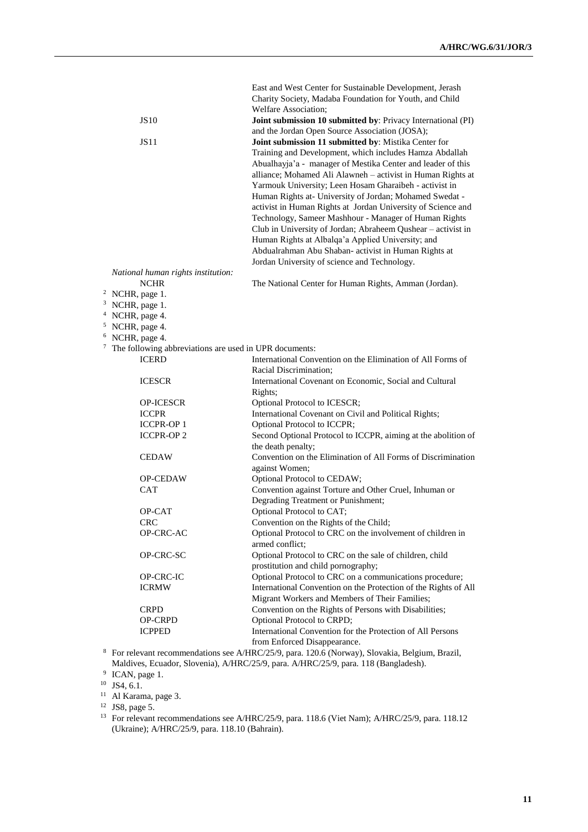|                                                            |                                    | East and West Center for Sustainable Development, Jerash                              |
|------------------------------------------------------------|------------------------------------|---------------------------------------------------------------------------------------|
|                                                            |                                    | Charity Society, Madaba Foundation for Youth, and Child<br>Welfare Association;       |
|                                                            | <b>JS10</b>                        | Joint submission 10 submitted by: Privacy International (PI)                          |
|                                                            |                                    | and the Jordan Open Source Association (JOSA);                                        |
|                                                            | <b>JS11</b>                        | Joint submission 11 submitted by: Mistika Center for                                  |
|                                                            |                                    | Training and Development, which includes Hamza Abdallah                               |
|                                                            |                                    | Abualhayja'a - manager of Mestika Center and leader of this                           |
|                                                            |                                    | alliance; Mohamed Ali Alawneh - activist in Human Rights at                           |
|                                                            |                                    | Yarmouk University; Leen Hosam Gharaibeh - activist in                                |
|                                                            |                                    | Human Rights at- University of Jordan; Mohamed Swedat -                               |
|                                                            |                                    | activist in Human Rights at Jordan University of Science and                          |
|                                                            |                                    | Technology, Sameer Mashhour - Manager of Human Rights                                 |
|                                                            |                                    | Club in University of Jordan; Abraheem Qushear - activist in                          |
|                                                            |                                    | Human Rights at Albalqa'a Applied University; and                                     |
|                                                            |                                    | Abdualrahman Abu Shaban- activist in Human Rights at                                  |
|                                                            |                                    | Jordan University of science and Technology.                                          |
|                                                            | National human rights institution: |                                                                                       |
|                                                            | <b>NCHR</b>                        | The National Center for Human Rights, Amman (Jordan).                                 |
| <sup>2</sup> NCHR, page 1.                                 |                                    |                                                                                       |
| <sup>3</sup> NCHR, page 1.                                 |                                    |                                                                                       |
| <sup>4</sup> NCHR, page 4.                                 |                                    |                                                                                       |
| <sup>5</sup> NCHR, page 4.                                 |                                    |                                                                                       |
| <sup>6</sup> NCHR, page 4.                                 |                                    |                                                                                       |
| $7$ The following abbreviations are used in UPR documents: |                                    |                                                                                       |
|                                                            | <b>ICERD</b>                       | International Convention on the Elimination of All Forms of                           |
|                                                            |                                    | Racial Discrimination;                                                                |
|                                                            | <b>ICESCR</b>                      | International Covenant on Economic, Social and Cultural                               |
|                                                            |                                    | Rights;                                                                               |
|                                                            | <b>OP-ICESCR</b>                   | Optional Protocol to ICESCR;                                                          |
|                                                            | <b>ICCPR</b>                       | International Covenant on Civil and Political Rights;                                 |
|                                                            | <b>ICCPR-OP 1</b>                  | Optional Protocol to ICCPR;                                                           |
|                                                            | <b>ICCPR-OP2</b>                   | Second Optional Protocol to ICCPR, aiming at the abolition of                         |
|                                                            |                                    | the death penalty;                                                                    |
|                                                            | <b>CEDAW</b>                       | Convention on the Elimination of All Forms of Discrimination                          |
|                                                            | <b>OP-CEDAW</b>                    | against Women;                                                                        |
|                                                            | <b>CAT</b>                         | Optional Protocol to CEDAW;<br>Convention against Torture and Other Cruel, Inhuman or |
|                                                            |                                    | Degrading Treatment or Punishment;                                                    |
|                                                            | OP-CAT                             | Optional Protocol to CAT;                                                             |
|                                                            | CRC.                               | Convention on the Rights of the Child;                                                |
|                                                            | OP-CRC-AC                          | Optional Protocol to CRC on the involvement of children in                            |
|                                                            |                                    | armed conflict;                                                                       |
|                                                            | OP-CRC-SC                          | Optional Protocol to CRC on the sale of children, child                               |
|                                                            |                                    | prostitution and child pornography;                                                   |
|                                                            | OP-CRC-IC                          | Optional Protocol to CRC on a communications procedure;                               |
|                                                            | <b>ICRMW</b>                       | International Convention on the Protection of the Rights of All                       |
|                                                            |                                    | Migrant Workers and Members of Their Families;                                        |
|                                                            | <b>CRPD</b>                        | Convention on the Rights of Persons with Disabilities;                                |
|                                                            | <b>OP-CRPD</b>                     | Optional Protocol to CRPD;                                                            |
|                                                            | <b>ICPPED</b>                      | International Convention for the Protection of All Persons                            |
|                                                            |                                    | from Enforced Disappearance.                                                          |
|                                                            |                                    |                                                                                       |

<sup>8</sup> For relevant recommendations see A/HRC/25/9, para. 120.6 (Norway), Slovakia, Belgium, Brazil, Maldives, Ecuador, Slovenia), A/HRC/25/9, para. A/HRC/25/9, para. 118 (Bangladesh).

<sup>9</sup> ICAN, page 1.

 $10$  JS4, 6.1.

<sup>11</sup> Al Karama, page 3.

<sup>12</sup> JS8, page 5.

<sup>13</sup> For relevant recommendations see A/HRC/25/9, para. 118.6 (Viet Nam); A/HRC/25/9, para. 118.12 (Ukraine); A/HRC/25/9, para. 118.10 (Bahrain).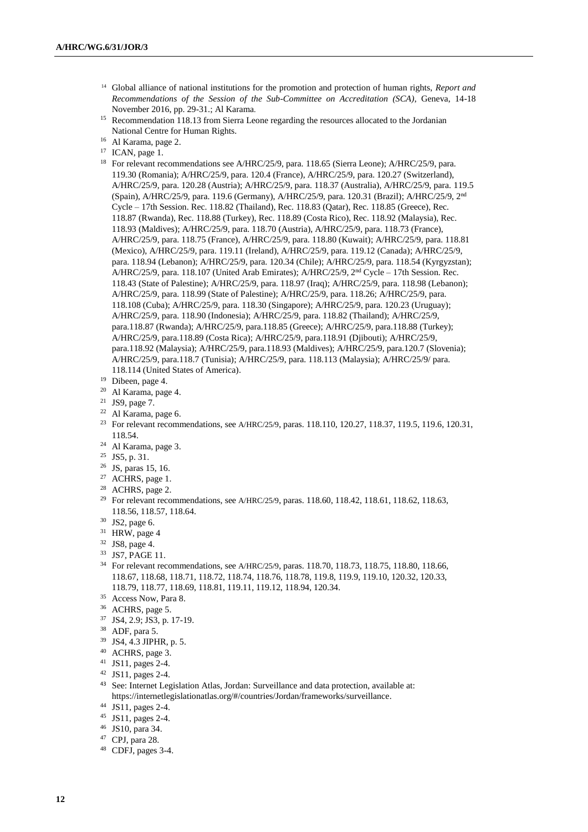- <sup>14</sup> Global alliance of national institutions for the promotion and protection of human rights, *Report and Recommendations of the Session of the Sub-Committee on Accreditation (SCA)*, Geneva, 14-18 November 2016, pp. 29-31.; Al Karama.
- <sup>15</sup> Recommendation 118.13 from Sierra Leone regarding the resources allocated to the Jordanian National Centre for Human Rights.
- <sup>16</sup> Al Karama, page 2.
- $17$  ICAN, page 1.
- <sup>18</sup> For relevant recommendations see A/HRC/25/9, para. 118.65 (Sierra Leone); A/HRC/25/9, para. 119.30 (Romania); A/HRC/25/9, para. 120.4 (France), A/HRC/25/9, para. 120.27 (Switzerland), A/HRC/25/9, para. 120.28 (Austria); A/HRC/25/9, para. 118.37 (Australia), A/HRC/25/9, para. 119.5 (Spain), A/HRC/25/9, para. 119.6 (Germany), A/HRC/25/9, para. 120.31 (Brazil); A/HRC/25/9, 2nd Cycle – 17th Session. Rec. 118.82 (Thailand), Rec. 118.83 (Qatar), Rec. 118.85 (Greece), Rec. 118.87 (Rwanda), Rec. 118.88 (Turkey), Rec. 118.89 (Costa Rico), Rec. 118.92 (Malaysia), Rec. 118.93 (Maldives); A/HRC/25/9, para. 118.70 (Austria), A/HRC/25/9, para. 118.73 (France), A/HRC/25/9, para. 118.75 (France), A/HRC/25/9, para. 118.80 (Kuwait); A/HRC/25/9, para. 118.81 (Mexico), A/HRC/25/9, para. 119.11 (Ireland), A/HRC/25/9, para. 119.12 (Canada); A/HRC/25/9, para. 118.94 (Lebanon); A/HRC/25/9, para. 120.34 (Chile); A/HRC/25/9, para. 118.54 (Kyrgyzstan); A/HRC/25/9, para. 118.107 (United Arab Emirates); A/HRC/25/9,  $2<sup>nd</sup>$  Cycle – 17th Session. Rec. 118.43 (State of Palestine); A/HRC/25/9, para. 118.97 (Iraq); A/HRC/25/9, para. 118.98 (Lebanon); A/HRC/25/9, para. 118.99 (State of Palestine); A/HRC/25/9, para. 118.26; A/HRC/25/9, para. 118.108 (Cuba); A/HRC/25/9, para. 118.30 (Singapore); A/HRC/25/9, para. 120.23 (Uruguay); A/HRC/25/9, para. 118.90 (Indonesia); A/HRC/25/9, para. 118.82 (Thailand); A/HRC/25/9, para.118.87 (Rwanda); A/HRC/25/9, para.118.85 (Greece); A/HRC/25/9, para.118.88 (Turkey); A/HRC/25/9, para.118.89 (Costa Rica); A/HRC/25/9, para.118.91 (Djibouti); A/HRC/25/9, para.118.92 (Malaysia); A/HRC/25/9, para.118.93 (Maldives); A/HRC/25/9, para.120.7 (Slovenia); A/HRC/25/9, para.118.7 (Tunisia); A/HRC/25/9, para. 118.113 (Malaysia); A/HRC/25/9/ para. 118.114 (United States of America).
- <sup>19</sup> Dibeen, page 4.
- <sup>20</sup> Al Karama, page 4.
- <sup>21</sup> JS9, page 7.
- <sup>22</sup> Al Karama, page 6.
- <sup>23</sup> For relevant recommendations, see A/HRC/25/9, paras. 118.110, 120.27, 118.37, 119.5, 119.6, 120.31, 118.54.
- <sup>24</sup> Al Karama, page 3.
- <sup>25</sup> JS5, p. 31.
- <sup>26</sup> JS, paras 15, 16.
- <sup>27</sup> ACHRS, page 1.
- <sup>28</sup> ACHRS, page 2.
- <sup>29</sup> For relevant recommendations, see A/HRC/25/9, paras. 118.60, 118.42, 118.61, 118.62, 118.63, 118.56, 118.57, 118.64.
- <sup>30</sup> JS2, page 6.
- <sup>31</sup> HRW, page 4
- <sup>32</sup> JS8, page 4.
- <sup>33</sup> JS7, PAGE 11.
- <sup>34</sup> For relevant recommendations, see A/HRC/25/9, paras. 118.70, 118.73, 118.75, 118.80, 118.66, 118.67, 118.68, 118.71, 118.72, 118.74, 118.76, 118.78, 119.8, 119.9, 119.10, 120.32, 120.33, 118.79, 118.77, 118.69, 118.81, 119.11, 119.12, 118.94, 120.34.
- <sup>35</sup> Access Now, Para 8.
- <sup>36</sup> ACHRS, page 5.
- <sup>37</sup> JS4, 2.9; JS3, p. 17-19.
- <sup>38</sup> ADF, para 5.
- <sup>39</sup> JS4, 4.3 JIPHR, p. 5.
- <sup>40</sup> ACHRS, page 3.
- <sup>41</sup> JS11, pages 2-4.
- <sup>42</sup> JS11, pages 2-4.
- <sup>43</sup> See: Internet Legislation Atlas, Jordan: Surveillance and data protection, available at: https://internetlegislationatlas.org/#/countries/Jordan/frameworks/surveillance.
- <sup>44</sup> JS11, pages 2-4.
- <sup>45</sup> JS11, pages 2-4.
- <sup>46</sup> JS10, para 34.
- <sup>47</sup> CPJ, para 28.
- <sup>48</sup> CDFJ, pages 3-4.